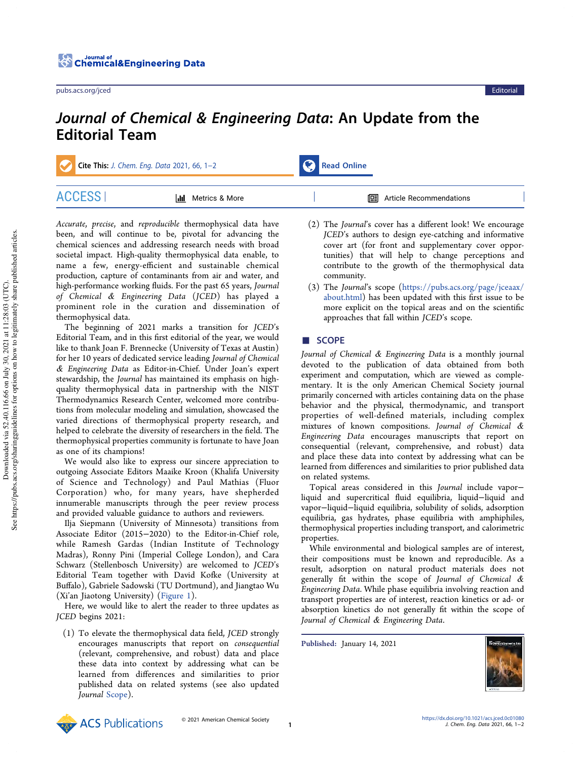## Journal of Chemical & Engineering Data: An Update from the Editorial Team

Cite This: J. Chem. Eng. Data 2021, 66, 1-2 Read Online

| <b>II</b> Metrics & More | <b><del>□</del></b> Article Recommendations |  |
|--------------------------|---------------------------------------------|--|

Accurate, precise, and reproducible thermophysical data have been, and will continue to be, pivotal for advancing the chemical sciences and addressing research needs with broad societal impact. High-quality thermophysical data enable, to name a few, energy-efficient and sustainable chemical production, capture of contaminants from air and water, and high-performance working fluids. For the past 65 years, Journal of Chemical & Engineering Data (JCED) has played a prominent role in the curation and dissemination of thermophysical data.

The beginning of 2021 marks a transition for JCED's Editorial Team, and in this first editorial of the year, we would like to thank Joan F. Brennecke (University of Texas at Austin) for her 10 years of dedicated service leading Journal of Chemical & Engineering Data as Editor-in-Chief. Under Joan's expert stewardship, the Journal has maintained its emphasis on highquality thermophysical data in partnership with the NIST Thermodynamics Research Center, welcomed more contributions from molecular modeling and simulation, showcased the varied directions of thermophysical property research, and helped to celebrate the diversity of researchers in the field. The thermophysical properties community is fortunate to have Joan as one of its champions!

We would also like to express our sincere appreciation to outgoing Associate Editors Maaike Kroon (Khalifa University of Science and Technology) and Paul Mathias (Fluor Corporation) who, for many years, have shepherded innumerable manuscripts through the peer review process and provided valuable guidance to authors and reviewers.

Ilja Siepmann (University of Minnesota) transitions from Associate Editor (2015−2020) to the Editor-in-Chief role, while Ramesh Gardas (Indian Institute of Technology Madras), Ronny Pini (Imperial College London), and Cara Schwarz (Stellenbosch University) are welcomed to JCED's Editorial Team together with David Kofke (University at Buffalo), Gabriele Sadowski (TU Dortmund), and Jiangtao Wu (Xi'an Jiaotong University) (Figure 1).

Here, we would like to alert the reader to three updates as JCED begins 2021:

(1) To elevate the thermophysical data field, JCED strongly encourages manuscripts that report on consequential (relevant, comprehensive, and robust) data and place these data into context by addressing what can be learned from differences and similarities to prior published data on related systems (see also updated Journal Scope).

- (2) The Journal's cover has a different look! We encourage JCED's authors to design eye-catching and informative cover art (for front and supplementary cover opportunities) that will help to change perceptions and contribute to the growth of the thermophysical data community.
- (3) The Journal's scope (https://pubs.acs.org/page/jceaax/ about.html) has been updated with this first issue to be more explicit on the topical areas and on the scientific approaches that fall within JCED's scope.

## ■ SCOPE

Journal of Chemical & Engineering Data is a monthly journal devoted to the publication of data obtained from both experiment and computation, which are viewed as complementary. It is the only American Chemical Society journal primarily concerned with articles containing data on the phase behavior and the physical, thermodynamic, and transport properties of well-defined materials, including complex mixtures of known compositions. Journal of Chemical & Engineering Data encourages manuscripts that report on consequential (relevant, comprehensive, and robust) data and place these data into context by addressing what can be learned from differences and similarities to prior published data on related systems.

Topical areas considered in this Journal include vapor− liquid and supercritical fluid equilibria, liquid−liquid and vapor−liquid−liquid equilibria, solubility of solids, adsorption equilibria, gas hydrates, phase equilibria with amphiphiles, thermophysical properties including transport, and calorimetric properties.

While environmental and biological samples are of interest, their compositions must be known and reproducible. As a result, adsorption on natural product materials does not generally fit within the scope of Journal of Chemical & Engineering Data. While phase equilibria involving reaction and transport properties are of interest, reaction kinetics or ad- or absorption kinetics do not generally fit within the scope of Journal of Chemical & Engineering Data.

Published: January 14, 2021





© 2021 American Chemical Society